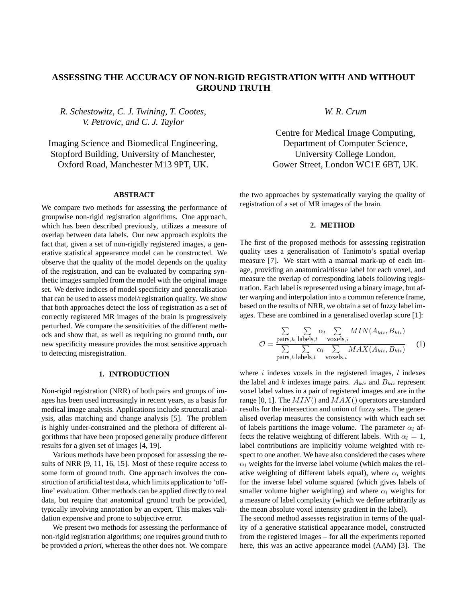# **ASSESSING THE ACCURACY OF NON-RIGID REGISTRATION WITH AND WITHOUT GROUND TRUTH**

*R. Schestowitz, C. J. Twining, T. Cootes, V. Petrovic, and C. J. Taylor*

Imaging Science and Biomedical Engineering, Stopford Building, University of Manchester, Oxford Road, Manchester M13 9PT, UK.

#### **ABSTRACT**

We compare two methods for assessing the performance of groupwise non-rigid registration algorithms. One approach, which has been described previously, utilizes a measure of overlap between data labels. Our new approach exploits the fact that, given a set of non-rigidly registered images, a generative statistical appearance model can be constructed. We observe that the quality of the model depends on the quality of the registration, and can be evaluated by comparing synthetic images sampled from the model with the original image set. We derive indices of model specificity and generalisation that can be used to assess model/registration quality. We show that both approaches detect the loss of registration as a set of correctly registered MR images of the brain is progressively perturbed. We compare the sensitivities of the different methods and show that, as well as requiring no ground truth, our new specificity measure provides the most sensitive approach to detecting misregistration.

## **1. INTRODUCTION**

Non-rigid registration (NRR) of both pairs and groups of images has been used increasingly in recent years, as a basis for medical image analysis. Applications include structural analysis, atlas matching and change analysis [5]. The problem is highly under-constrained and the plethora of different algorithms that have been proposed generally produce different results for a given set of images [4, 19].

Various methods have been proposed for assessing the results of NRR [9, 11, 16, 15]. Most of these require access to some form of ground truth. One approach involves the construction of artificial test data, which limits application to 'offline' evaluation. Other methods can be applied directly to real data, but require that anatomical ground truth be provided, typically involving annotation by an expert. This makes validation expensive and prone to subjective error.

We present two methods for assessing the performance of non-rigid registration algorithms; one requires ground truth to be provided *a priori*, whereas the other does not. We compare *W. R. Crum*

Centre for Medical Image Computing, Department of Computer Science, University College London, Gower Street, London WC1E 6BT, UK.

the two approaches by systematically varying the quality of registration of a set of MR images of the brain.

## **2. METHOD**

The first of the proposed methods for assessing registration quality uses a generalisation of Tanimoto's spatial overlap measure [7]. We start with a manual mark-up of each image, providing an anatomical/tissue label for each voxel, and measure the overlap of corresponding labels following registration. Each label is represented using a binary image, but after warping and interpolation into a common reference frame, based on the results of NRR, we obtain a set of fuzzy label images. These are combined in a generalised overlap score [1]:

$$
\mathcal{O} = \frac{\sum\limits_{\text{pairs},k} \sum\limits_{\text{labels},l} \alpha_l \sum\limits_{\text{voxels},i} MIN(A_{kli}, B_{kli})}{\sum\limits_{\text{pairs},k} \sum\limits_{\text{labels},l} \alpha_l \sum\limits_{\text{voxels},i} MAX(A_{kli}, B_{kli})}
$$
(1)

where  $i$  indexes voxels in the registered images,  $l$  indexes the label and  $k$  indexes image pairs.  $A_{kli}$  and  $B_{kli}$  represent voxel label values in a pair of registered images and are in the range [0, 1]. The  $MIN()$  and  $MAX()$  operators are standard results for the intersection and union of fuzzy sets. The generalised overlap measures the consistency with which each set of labels partitions the image volume. The parameter  $\alpha_l$  affects the relative weighting of different labels. With  $\alpha_l = 1$ , label contributions are implicitly volume weighted with respect to one another. We have also considered the cases where  $\alpha_l$  weights for the inverse label volume (which makes the relative weighting of different labels equal), where  $\alpha_l$  weights for the inverse label volume squared (which gives labels of smaller volume higher weighting) and where  $\alpha_l$  weights for a measure of label complexity (which we define arbitrarily as the mean absolute voxel intensity gradient in the label).

The second method assesses registration in terms of the quality of a generative statistical appearance model, constructed from the registered images – for all the experiments reported here, this was an active appearance model (AAM) [3]. The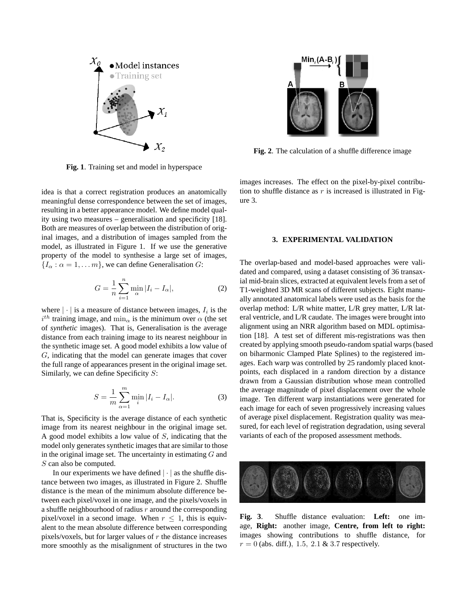

**Fig. 1**. Training set and model in hyperspace

idea is that a correct registration produces an anatomically meaningful dense correspondence between the set of images, resulting in a better appearance model. We define model quality using two measures – generalisation and specificity [18]. Both are measures of overlap between the distribution of original images, and a distribution of images sampled from the model, as illustrated in Figure 1. If we use the generative property of the model to synthesise a large set of images,  ${I_{\alpha} : \alpha = 1, \ldots m}$ , we can define Generalisation G:

$$
G = \frac{1}{n} \sum_{i=1}^{n} \min_{\alpha} |I_i - I_{\alpha}|,\tag{2}
$$

where  $|\cdot|$  is a measure of distance between images,  $I_i$  is the  $i^{th}$  training image, and  $\min_{\alpha}$  is the minimum over  $\alpha$  (the set of *synthetic* images). That is, Generalisation is the average distance from each training image to its nearest neighbour in the synthetic image set. A good model exhibits a low value of G, indicating that the model can generate images that cover the full range of appearances present in the original image set. Similarly, we can define Specificity  $S$ :

$$
S = \frac{1}{m} \sum_{\alpha=1}^{m} \min_{i} |I_i - I_{\alpha}|.
$$
 (3)

That is, Specificity is the average distance of each synthetic image from its nearest neighbour in the original image set. A good model exhibits a low value of S, indicating that the model only generates synthetic images that are similar to those in the original image set. The uncertainty in estimating  $G$  and S can also be computed.

In our experiments we have defined  $|\cdot|$  as the shuffle distance between two images, as illustrated in Figure 2. Shuffle distance is the mean of the minimum absolute difference between each pixel/voxel in one image, and the pixels/voxels in a shuffle neighbourhood of radius  $r$  around the corresponding pixel/voxel in a second image. When  $r \leq 1$ , this is equivalent to the mean absolute difference between corresponding pixels/voxels, but for larger values of  $r$  the distance increases more smoothly as the misalignment of structures in the two



**Fig. 2**. The calculation of a shuffle difference image

images increases. The effect on the pixel-by-pixel contribution to shuffle distance as  $r$  is increased is illustrated in Figure 3.

## **3. EXPERIMENTAL VALIDATION**

The overlap-based and model-based approaches were validated and compared, using a dataset consisting of 36 transaxial mid-brain slices, extracted at equivalent levels from a set of T1-weighted 3D MR scans of different subjects. Eight manually annotated anatomical labels were used as the basis for the overlap method: L/R white matter, L/R grey matter, L/R lateral ventricle, and L/R caudate. The images were brought into alignment using an NRR algorithm based on MDL optimisation [18]. A test set of different mis-registrations was then created by applying smooth pseudo-random spatial warps (based on biharmonic Clamped Plate Splines) to the registered images. Each warp was controlled by 25 randomly placed knotpoints, each displaced in a random direction by a distance drawn from a Gaussian distribution whose mean controlled the average magnitude of pixel displacement over the whole image. Ten different warp instantiations were generated for each image for each of seven progressively increasing values of average pixel displacement. Registration quality was measured, for each level of registration degradation, using several variants of each of the proposed assessment methods.



**Fig. 3**. Shuffle distance evaluation: **Left:** one image, **Right:** another image, **Centre, from left to right:** images showing contributions to shuffle distance, for  $r = 0$  (abs. diff.), 1.5, 2.1 & 3.7 respectively.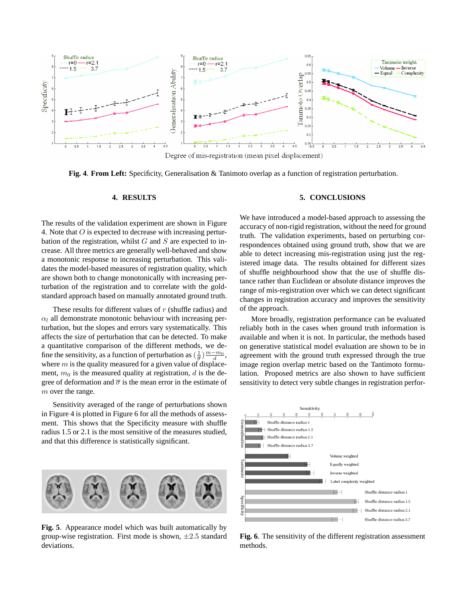

**Fig. 4**. **From Left:** Specificity, Generalisation & Tanimoto overlap as a function of registration perturbation.

#### **4. RESULTS**

The results of the validation experiment are shown in Figure 4. Note that O is expected to decrease with increasing perturbation of the registration, whilst  $G$  and  $S$  are expected to increase. All three metrics are generally well-behaved and show a monotonic response to increasing perturbation. This validates the model-based measures of registration quality, which are shown both to change monotonically with increasing perturbation of the registration and to correlate with the goldstandard approach based on manually annotated ground truth.

These results for different values of  $r$  (shuffle radius) and  $\alpha_l$  all demonstrate monotonic behaviour with increasing perturbation, but the slopes and errors vary systematically. This affects the size of perturbation that can be detected. To make a quantitative comparison of the different methods, we define the sensitivity, as a function of perturbation as  $(\frac{1}{\overline{\sigma}})\frac{m-m_0}{d}$ , where  $m$  is the quality measured for a given value of displacement,  $m_0$  is the measured quality at registration, d is the degree of deformation and  $\bar{\sigma}$  is the mean error in the estimate of m over the range.

Sensitivity averaged of the range of perturbations shown in Figure 4 is plotted in Figure 6 for all the methods of assessment. This shows that the Specificity measure with shuffle radius 1.5 or 2.1 is the most sensitive of the measures studied, and that this difference is statistically significant.



**Fig. 5**. Appearance model which was built automatically by group-wise registration. First mode is shown,  $\pm 2.5$  standard deviations.

#### **5. CONCLUSIONS**

We have introduced a model-based approach to assessing the accuracy of non-rigid registration, without the need for ground truth. The validation experiments, based on perturbing correspondences obtained using ground truth, show that we are able to detect increasing mis-registration using just the registered image data. The results obtained for different sizes of shuffle neighbourhood show that the use of shuffle distance rather than Euclidean or absolute distance improves the range of mis-registration over which we can detect significant changes in registration accuracy and improves the sensitivity of the approach.

More broadly, registration performance can be evaluated reliably both in the cases when ground truth information is available and when it is not. In particular, the methods based on generative statistical model evaluation are shown to be in agreement with the ground truth expressed through the true image region overlap metric based on the Tantimoto formulation. Proposed metrics are also shown to have sufficient sensitivity to detect very subtle changes in registration perfor-



**Fig. 6**. The sensitivity of the different registration assessment methods.